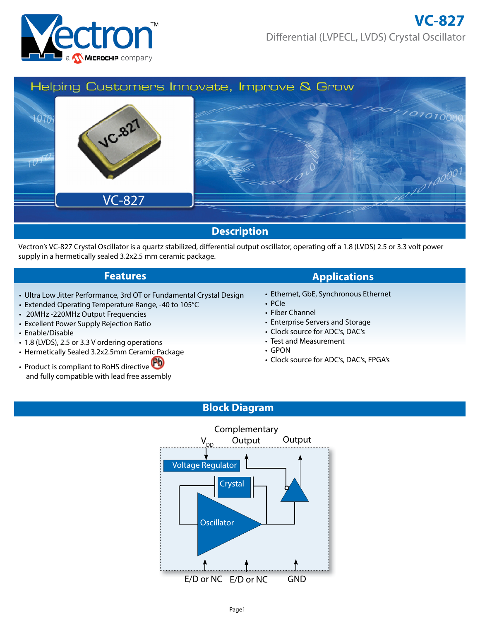



Vectron's VC-827 Crystal Oscillator is a quartz stabilized, differential output oscillator, operating off a 1.8 (LVDS) 2.5 or 3.3 volt power supply in a hermetically sealed 3.2x2.5 mm ceramic package.

- Ultra Low Jitter Performance, 3rd OT or Fundamental Crystal Design
- Extended Operating Temperature Range, -40 to 105°C
- 20MHz -220MHz Output Frequencies
- Excellent Power Supply Rejection Ratio
- Enable/Disable
- 1.8 (LVDS), 2.5 or 3.3 V ordering operations
- Hermetically Sealed 3.2x2.5mm Ceramic Package
- Product is compliant to RoHS directive and fully compatible with lead free assembly

# **Features Applications**

- Ethernet, GbE, Synchronous Ethernet
- PCIe
- Fiber Channel
- Enterprise Servers and Storage
- Clock source for ADC's, DAC's
- Test and Measurement
- GPON
- Clock source for ADC's, DAC's, FPGA's

## **Block Diagram**

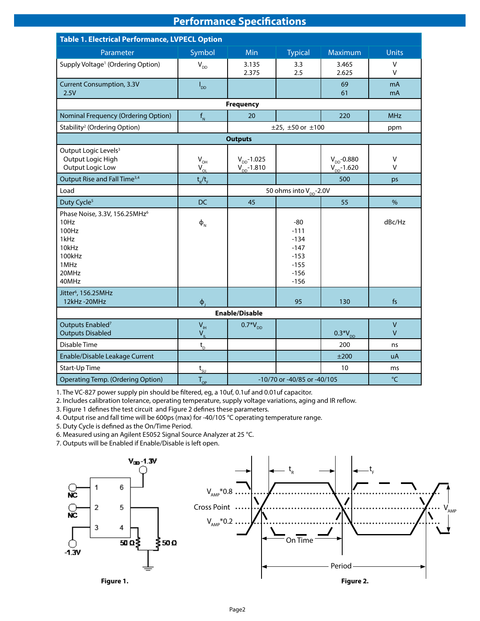# **Performance Specifications**

| <b>Table 1. Electrical Performance, LVPECL Option</b>                                                           |                                    |                                      |                                                                             |                                      |                       |  |  |
|-----------------------------------------------------------------------------------------------------------------|------------------------------------|--------------------------------------|-----------------------------------------------------------------------------|--------------------------------------|-----------------------|--|--|
| Parameter                                                                                                       | Symbol                             | Min                                  | <b>Typical</b>                                                              | Maximum                              | <b>Units</b>          |  |  |
| Supply Voltage <sup>1</sup> (Ordering Option)                                                                   | $\mathsf{V}_{\mathsf{DD}}$         | 3.135<br>2.375                       | 3.3<br>2.5                                                                  | 3.465<br>2.625                       | V<br>$\vee$           |  |  |
| <b>Current Consumption, 3.3V</b><br>2.5V                                                                        | $I_{DD}$                           |                                      |                                                                             | 69<br>61                             | mA<br>mA              |  |  |
|                                                                                                                 |                                    | <b>Frequency</b>                     |                                                                             |                                      |                       |  |  |
| <b>Nominal Frequency (Ordering Option)</b>                                                                      | $f_{N}$                            | 20<br>220                            |                                                                             |                                      | <b>MHz</b>            |  |  |
| Stability <sup>2</sup> (Ordering Option)                                                                        |                                    |                                      | $±25, ±50$ or $±100$                                                        |                                      | ppm                   |  |  |
|                                                                                                                 |                                    | <b>Outputs</b>                       |                                                                             |                                      |                       |  |  |
| Output Logic Levels <sup>3</sup><br>Output Logic High<br>Output Logic Low                                       | $V_{OH}$<br>$V_{OL}$               | $V_{DD} - 1.025$<br>$V_{DD} - 1.810$ |                                                                             | $V_{DD} - 0.880$<br>$V_{DD} - 1.620$ | V<br>$\vee$           |  |  |
| Output Rise and Fall Time <sup>3,4</sup>                                                                        | $t_R/t_F$                          |                                      |                                                                             | 500                                  | ps                    |  |  |
| Load                                                                                                            | 50 ohms into V <sub>pp</sub> -2.0V |                                      |                                                                             |                                      |                       |  |  |
| Duty Cycle <sup>5</sup>                                                                                         | <b>DC</b>                          | 45                                   |                                                                             | 55                                   | %                     |  |  |
| Phase Noise, 3.3V, 156.25MHz <sup>6</sup><br>10Hz<br>100Hz<br>1kHz<br>10kHz<br>100kHz<br>1MHz<br>20MHz<br>40MHz | $\Phi_{\scriptscriptstyle\rm N}$   |                                      | $-80$<br>$-111$<br>$-134$<br>$-147$<br>$-153$<br>$-155$<br>$-156$<br>$-156$ |                                      | dBc/Hz                |  |  |
| Jitter <sup>6</sup> , 156.25MHz<br>12kHz-20MHz                                                                  | $\Phi$                             |                                      | 95                                                                          | 130                                  | f <sub>S</sub>        |  |  |
|                                                                                                                 |                                    | <b>Enable/Disable</b>                |                                                                             |                                      |                       |  |  |
| Outputs Enabled <sup>7</sup><br><b>Outputs Disabled</b>                                                         | $V_{\rm IH}$<br>$V_{\parallel}$    | $0.7*V_{DD}$                         |                                                                             | $0.3*V_{DD}$                         | $\mathsf V$<br>$\vee$ |  |  |
| Disable Time                                                                                                    | $t_{\rm D}$                        |                                      |                                                                             | 200                                  | ns                    |  |  |
| Enable/Disable Leakage Current                                                                                  |                                    |                                      |                                                                             | ±200                                 | uA                    |  |  |
| Start-Up Time                                                                                                   | $t_{\rm su}$                       |                                      |                                                                             | 10                                   | ms                    |  |  |
| <b>Operating Temp. (Ordering Option)</b><br>$T_{\text{OP}}$<br>-10/70 or -40/85 or -40/105                      |                                    |                                      |                                                                             |                                      | $\rm ^{\circ}C$       |  |  |

1. The VC-827 power supply pin should be filtered, eg, a 10uf, 0.1uf and 0.01uf capacitor.

2. Includes calibration tolerance, operating temperature, supply voltage variations, aging and IR reflow.

3. Figure 1 defines the test circuit and Figure 2 defines these parameters.

4. Output rise and fall time will be 600ps (max) for -40/105 °C operating temperature range.

5. Duty Cycle is defined as the On/Time Period.

6. Measured using an Agilent E5052 Signal Source Analyzer at 25 °C.

7. Outputs will be Enabled if Enable/Disable is left open.

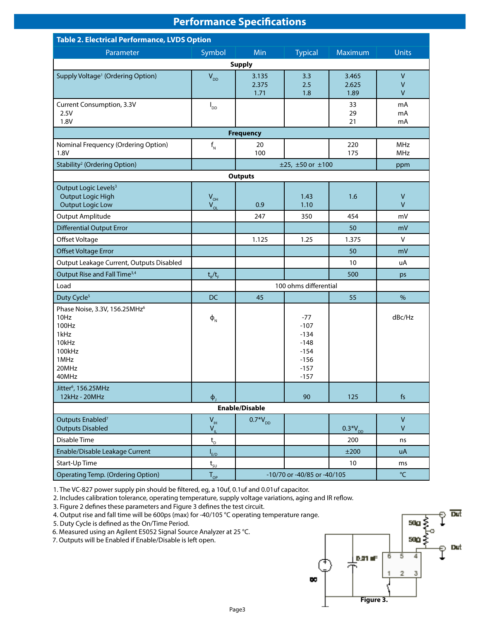# **Performance Specifications**

| <b>Table 2. Electrical Performance, LVDS Option</b>                                                             |                                                          |                             |                                                                             |                        |                              |  |  |  |
|-----------------------------------------------------------------------------------------------------------------|----------------------------------------------------------|-----------------------------|-----------------------------------------------------------------------------|------------------------|------------------------------|--|--|--|
| Parameter                                                                                                       | Symbol                                                   | Min                         | <b>Typical</b>                                                              | Maximum                | <b>Units</b>                 |  |  |  |
| <b>Supply</b>                                                                                                   |                                                          |                             |                                                                             |                        |                              |  |  |  |
| Supply Voltage <sup>1</sup> (Ordering Option)                                                                   | $V_{DD}$                                                 | 3.135<br>2.375<br>1.71      | 3.3<br>2.5<br>1.8                                                           | 3.465<br>2.625<br>1.89 | $\sf V$<br>V<br>$\mathsf{V}$ |  |  |  |
| Current Consumption, 3.3V<br>2.5V<br>1.8V                                                                       | $I_{DD}$                                                 |                             |                                                                             | 33<br>29<br>21         | mA<br>mA<br>mA               |  |  |  |
|                                                                                                                 |                                                          | <b>Frequency</b>            |                                                                             |                        |                              |  |  |  |
| Nominal Frequency (Ordering Option)<br>1.8V                                                                     | $f_{N}$                                                  | 20<br>100                   |                                                                             | 220<br>175             | MHz<br><b>MHz</b>            |  |  |  |
| Stability <sup>2</sup> (Ordering Option)                                                                        |                                                          |                             | $±25, ±50$ or $±100$                                                        |                        | ppm                          |  |  |  |
|                                                                                                                 |                                                          | <b>Outputs</b>              |                                                                             |                        |                              |  |  |  |
| Output Logic Levels <sup>3</sup><br><b>Output Logic High</b><br><b>Output Logic Low</b>                         | $V_{\text{OH}}$<br>$V_{OL}$                              | 0.9                         | 1.43<br>1.10                                                                | 1.6                    | $\sf V$<br>$\mathsf{V}$      |  |  |  |
| <b>Output Amplitude</b>                                                                                         |                                                          | 247                         | 350                                                                         | 454                    | mV                           |  |  |  |
| <b>Differential Output Error</b>                                                                                |                                                          |                             |                                                                             | 50                     | mV                           |  |  |  |
| Offset Voltage                                                                                                  |                                                          | 1.125                       | 1.25                                                                        | 1.375                  | $\vee$                       |  |  |  |
| <b>Offset Voltage Error</b>                                                                                     |                                                          |                             |                                                                             | 50                     | mV                           |  |  |  |
| Output Leakage Current, Outputs Disabled                                                                        |                                                          |                             |                                                                             | 10                     | uA                           |  |  |  |
| Output Rise and Fall Time <sup>3,4</sup>                                                                        | $t_R/t_F$                                                |                             |                                                                             | 500                    | ps                           |  |  |  |
| Load                                                                                                            |                                                          | 100 ohms differential       |                                                                             |                        |                              |  |  |  |
| Duty Cycle <sup>5</sup>                                                                                         | <b>DC</b>                                                | 45                          |                                                                             | 55                     | $\%$                         |  |  |  |
| Phase Noise, 3.3V, 156.25MHz <sup>6</sup><br>10Hz<br>100Hz<br>1kHz<br>10kHz<br>100kHz<br>1MHz<br>20MHz<br>40MHz | $\Phi_{\scriptscriptstyle\rm N}$                         |                             | $-77$<br>$-107$<br>$-134$<br>$-148$<br>$-154$<br>$-156$<br>$-157$<br>$-157$ |                        | dBc/Hz                       |  |  |  |
| Jitter <sup>6</sup> , 156.25MHz<br>12kHz - 20MHz                                                                | $\Phi_{\rm I}$                                           |                             | 90                                                                          | 125                    | f <sub>S</sub>               |  |  |  |
| <b>Enable/Disable</b>                                                                                           |                                                          |                             |                                                                             |                        |                              |  |  |  |
| Outputs Enabled <sup>7</sup><br><b>Outputs Disabled</b>                                                         | $\mathsf{V}_{\scriptscriptstyle\mathsf{IH}}$<br>$V_{IL}$ | $0.7*V_{DD}$                |                                                                             | $0.3*V_{DD}$           | $\mathsf{V}$<br>$\mathsf{V}$ |  |  |  |
| Disable Time                                                                                                    | $t_{\rm D}$                                              |                             |                                                                             | 200                    | ns                           |  |  |  |
| Enable/Disable Leakage Current                                                                                  | $I_{E/D}$                                                |                             |                                                                             | ±200                   | uA                           |  |  |  |
| Start-Up Time                                                                                                   | $t_{\rm SU}$                                             |                             |                                                                             | 10 <sup>°</sup>        | ms                           |  |  |  |
| <b>Operating Temp. (Ordering Option)</b>                                                                        | $T_{OP}$                                                 | -10/70 or -40/85 or -40/105 | $\mathrm{C}$                                                                |                        |                              |  |  |  |

1. The VC-827 power supply pin should be filtered, eg, a 10uf, 0.1uf and 0.01uf capacitor.

2. Includes calibration tolerance, operating temperature, supply voltage variations, aging and IR reflow.

3. Figure 2 defines these parameters and Figure 3 defines the test circuit.

4. Output rise and fall time will be 600ps (max) for -40/105 °C operating temperature range.

5. Duty Cycle is defined as the On/Time Period.

6. Measured using an Agilent E5052 Signal Source Analyzer at 25 °C.

7. Outputs will be Enabled if Enable/Disable is left open.

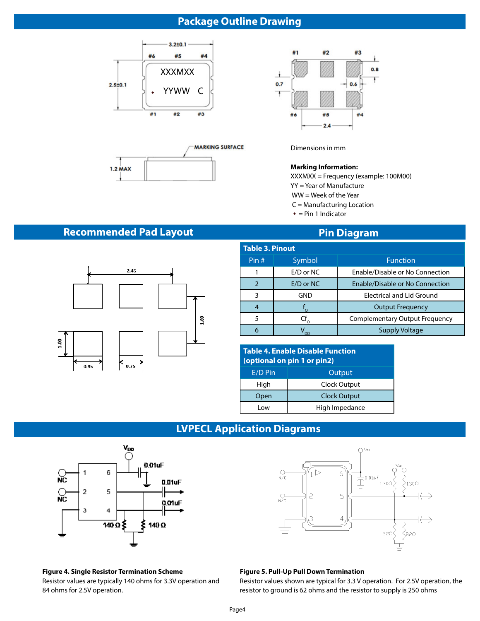# **Package Outline Drawing**







Dimensions in mm

#### **Marking Information:**

XXXMXX = Frequency (example: 100M00)

- YY = Year of Manufacture
- WW = Week of the Year
- C = Manufacturing Location
- $=$  Pin 1 Indicator

# **Recommended Pad Layout**  Pin Diagram



| <b>Table 3. Pinout</b> |           |                                       |  |  |  |  |  |
|------------------------|-----------|---------------------------------------|--|--|--|--|--|
| Pin #                  | Symbol    | <b>Function</b>                       |  |  |  |  |  |
|                        | E/D or NC | Enable/Disable or No Connection       |  |  |  |  |  |
| $\mathcal{P}$          | E/D or NC | Enable/Disable or No Connection       |  |  |  |  |  |
| 3                      | GND       | <b>Electrical and Lid Ground</b>      |  |  |  |  |  |
| 4                      |           | <b>Output Frequency</b>               |  |  |  |  |  |
| 5                      | Cf        | <b>Complementary Output Frequency</b> |  |  |  |  |  |
| 6                      | nn        | <b>Supply Voltage</b>                 |  |  |  |  |  |

| <b>Table 4. Enable Disable Function</b><br>(optional on pin 1 or pin2) |                     |  |  |  |
|------------------------------------------------------------------------|---------------------|--|--|--|
| E/D Pin                                                                | Output              |  |  |  |
| High                                                                   | Clock Output        |  |  |  |
| Open                                                                   | <b>Clock Output</b> |  |  |  |
| l ow                                                                   | High Impedance      |  |  |  |

# **LVPECL Application Diagrams**



# **Figure 4. Single Resistor Termination Scheme**

Resistor values are typically 140 ohms for 3.3V operation and 84 ohms for 2.5V operation.



#### **Figure 5. Pull-Up Pull Down Termination**

Resistor values shown are typical for 3.3 V operation. For 2.5V operation, the resistor to ground is 62 ohms and the resistor to supply is 250 ohms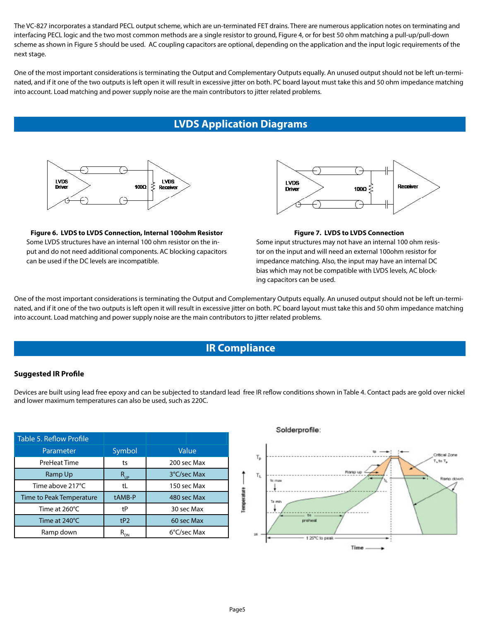The VC-827 incorporates a standard PECL output scheme, which are un-terminated FET drains. There are numerous application notes on terminating and interfacing PECL logic and the two most common methods are a single resistor to ground, Figure 4, or for best 50 ohm matching a pull-up/pull-down scheme as shown in Figure 5 should be used. AC coupling capacitors are optional, depending on the application and the input logic requirements of the next stage.

One of the most important considerations is terminating the Output and Complementary Outputs equally. An unused output should not be left un-terminated, and if it one of the two outputs is left open it will result in excessive jitter on both. PC board layout must take this and 50 ohm impedance matching into account. Load matching and power supply noise are the main contributors to jitter related problems.

# **LVDS Application Diagrams**



**Figure 6. LVDS to LVDS Connection, Internal 100ohm Resistor**  Some LVDS structures have an internal 100 ohm resistor on the input and do not need additional components. AC blocking capacitors can be used if the DC levels are incompatible.



#### **Figure 7. LVDS to LVDS Connection**

Some input structures may not have an internal 100 ohm resistor on the input and will need an external 100ohm resistor for impedance matching. Also, the input may have an internal DC bias which may not be compatible with LVDS levels, AC blocking capacitors can be used.

One of the most important considerations is terminating the Output and Complementary Outputs equally. An unused output should not be left un-terminated, and if it one of the two outputs is left open it will result in excessive jitter on both. PC board layout must take this and 50 ohm impedance matching into account. Load matching and power supply noise are the main contributors to jitter related problems.

### **IR Compliance**

### **Suggested IR Profile**

Devices are built using lead free epoxy and can be subjected to standard lead free IR reflow conditions shown in Table 4. Contact pads are gold over nickel and lower maximum temperatures can also be used, such as 220C.

| Table 5. Reflow Profile  |                            |             |  |  |
|--------------------------|----------------------------|-------------|--|--|
| Parameter                | Symbol                     | Value       |  |  |
| PreHeat Time             | ts                         | 200 sec Max |  |  |
| Ramp Up                  | $R_{_{UP}}$                | 3°C/sec Max |  |  |
| Time above 217°C         | tL                         | 150 sec Max |  |  |
| Time to Peak Temperature | tAMB-P                     | 480 sec Max |  |  |
| Time at 260°C            | tP                         | 30 sec Max  |  |  |
| Time at 240°C            | tP2                        | 60 sec Max  |  |  |
| Ramp down                | $\mathsf{R}_{\mathsf{DN}}$ | 6°C/sec Max |  |  |

#### Solderprofile:

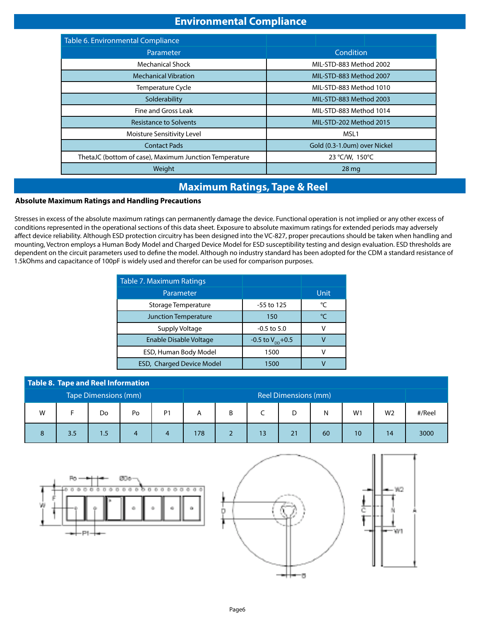# **Environmental Compliance**

| Table 6. Environmental Compliance                      |                              |  |  |  |  |
|--------------------------------------------------------|------------------------------|--|--|--|--|
| Parameter                                              | Condition                    |  |  |  |  |
| <b>Mechanical Shock</b>                                | MIL-STD-883 Method 2002      |  |  |  |  |
| <b>Mechanical Vibration</b>                            | MIL-STD-883 Method 2007      |  |  |  |  |
| <b>Temperature Cycle</b>                               | MIL-STD-883 Method 1010      |  |  |  |  |
| Solderability                                          | MIL-STD-883 Method 2003      |  |  |  |  |
| Fine and Gross Leak                                    | MIL-STD-883 Method 1014      |  |  |  |  |
| <b>Resistance to Solvents</b>                          | MIL-STD-202 Method 2015      |  |  |  |  |
| Moisture Sensitivity Level                             | MSL1                         |  |  |  |  |
| <b>Contact Pads</b>                                    | Gold (0.3-1.0um) over Nickel |  |  |  |  |
| ThetaJC (bottom of case), Maximum Junction Temperature | 23 °C/W, 150°C               |  |  |  |  |
| Weight                                                 | 28 <sub>mg</sub>             |  |  |  |  |

# **Maximum Ratings, Tape & Reel**

### **Absolute Maximum Ratings and Handling Precautions S**

Stresses in excess of the absolute maximum ratings can permanently damage the device. Functional operation is not implied or any other excess of conditions represented in the operational sections of this data sheet. Exposure to absolute maximum ratings for extended periods may adversely affect device reliability. Although ESD protection circuitry has been designed into the VC-827, proper precautions should be taken when handling and mounting, Vectron employs a Human Body Model and Charged Device Model for ESD susceptibility testing and design evaluation. ESD thresholds are dependent on the circuit parameters used to define the model. Although no industry standard has been adopted for the CDM a standard resistance of 1.5kOhms and capacitance of 100pF is widely used and therefor can be used for comparison purposes.

| Table 7. Maximum Ratings         |                              |               |
|----------------------------------|------------------------------|---------------|
| Parameter                        |                              | Unit          |
| Storage Temperature              | -55 to 125                   | °C            |
| <b>Junction Temperature</b>      | 150                          | $\mathcal{C}$ |
| Supply Voltage                   | $-0.5$ to 5.0                |               |
| Enable Disable Voltage           | -0.5 to $V_{\text{nn}}$ +0.5 |               |
| ESD, Human Body Model            | 1500                         |               |
| <b>ESD, Charged Device Model</b> | 1500                         |               |

| Table 8. Tape and Reel Information |     |     |                      |                |     |   |    |    |    |                |                |        |
|------------------------------------|-----|-----|----------------------|----------------|-----|---|----|----|----|----------------|----------------|--------|
| Tape Dimensions (mm)               |     |     | Reel Dimensions (mm) |                |     |   |    |    |    |                |                |        |
| W                                  |     | Do  | Po                   | P <sub>1</sub> | Α   | B |    |    | N  | W <sub>1</sub> | W <sub>2</sub> | #/Reel |
|                                    | 3.5 | 1.5 |                      |                | 178 |   | 13 | 21 | 60 | 10             | 14             | 3000   |

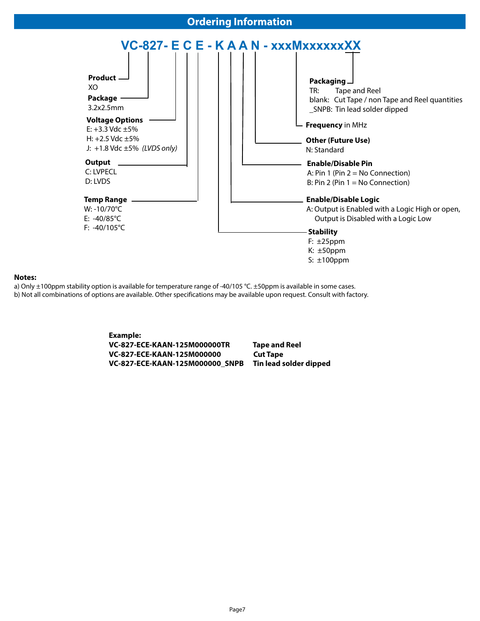### **Ordering Information**



#### **Notes:**

a) Only ±100ppm stability option is available for temperature range of -40/105 °C. ±50ppm is available in some cases.

b) Not all combinations of options are available. Other specifications may be available upon request. Consult with factory.

**Example: VC-827-ECE-KAAN-125M000000TR Tape and Reel VC-827-ECE-KAAN-125M000000 Cut Tape VC-827-ECE-KAAN-125M000000\_SNPB Tin lead solder dipped**